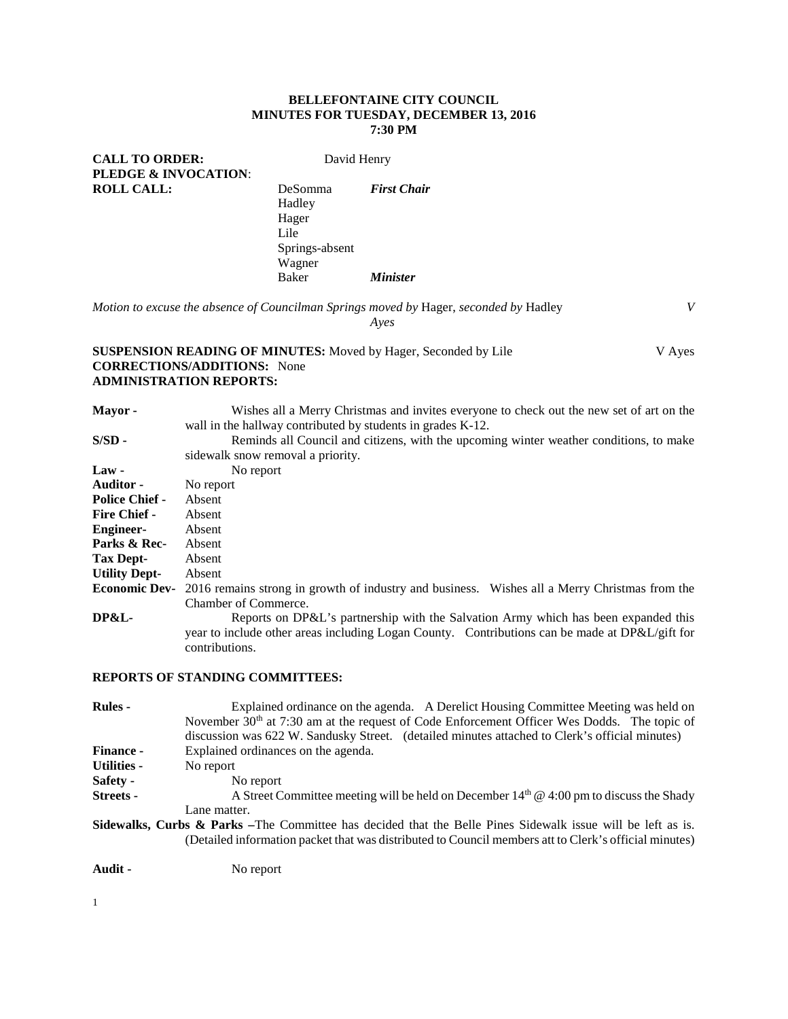### **BELLEFONTAINE CITY COUNCIL MINUTES FOR TUESDAY, DECEMBER 13, 2016 7:30 PM**

**CALL TO ORDER:** David Henry **PLEDGE & INVOCATION**: **ROLL CALL:** DeSomma *First Chair*

Hadley Hager Lile Springs-absent Wagner<br>Baker  $Minister$ 

*Motion to excuse the absence of Councilman Springs moved by* Hager, *seconded by* Hadley *V Ayes*

## **SUSPENSION READING OF MINUTES:** Moved by Hager, Seconded by Lile V Ayes **CORRECTIONS/ADDITIONS:** None **ADMINISTRATION REPORTS:**

| Mayor -                           | Wishes all a Merry Christmas and invites everyone to check out the new set of art on the<br>wall in the hallway contributed by students in grades K-12. |  |  |  |  |
|-----------------------------------|---------------------------------------------------------------------------------------------------------------------------------------------------------|--|--|--|--|
| $S/SD -$                          | Reminds all Council and citizens, with the upcoming winter weather conditions, to make                                                                  |  |  |  |  |
| sidewalk snow removal a priority. |                                                                                                                                                         |  |  |  |  |
| $Law -$                           | No report                                                                                                                                               |  |  |  |  |
| <b>Auditor -</b>                  | No report                                                                                                                                               |  |  |  |  |
| <b>Police Chief -</b>             | Absent                                                                                                                                                  |  |  |  |  |
| <b>Fire Chief -</b>               | Absent                                                                                                                                                  |  |  |  |  |
| <b>Engineer-</b>                  | Absent                                                                                                                                                  |  |  |  |  |
| Parks & Rec-                      | Absent                                                                                                                                                  |  |  |  |  |
| Tax Dept-                         | Absent                                                                                                                                                  |  |  |  |  |
| <b>Utility Dept-</b>              | Absent                                                                                                                                                  |  |  |  |  |
| <b>Economic Dev-</b>              | 2016 remains strong in growth of industry and business. Wishes all a Merry Christmas from the                                                           |  |  |  |  |
|                                   | Chamber of Commerce.                                                                                                                                    |  |  |  |  |
| DP&L-                             | Reports on DP&L's partnership with the Salvation Army which has been expanded this                                                                      |  |  |  |  |
|                                   | year to include other areas including Logan County. Contributions can be made at DP&L/gift for<br>contributions.                                        |  |  |  |  |

#### **REPORTS OF STANDING COMMITTEES:**

| <b>Rules</b> -     | Explained ordinance on the agenda. A Derelict Housing Committee Meeting was held on<br>November $30th$ at 7:30 am at the request of Code Enforcement Officer Wes Dodds. The topic of<br>discussion was 622 W. Sandusky Street. (detailed minutes attached to Clerk's official minutes) |
|--------------------|----------------------------------------------------------------------------------------------------------------------------------------------------------------------------------------------------------------------------------------------------------------------------------------|
| <b>Finance -</b>   | Explained ordinances on the agenda.                                                                                                                                                                                                                                                    |
| <b>Utilities -</b> | No report                                                                                                                                                                                                                                                                              |
| Safety -           | No report                                                                                                                                                                                                                                                                              |
| Streets -          | A Street Committee meeting will be held on December $14th$ @ 4:00 pm to discuss the Shady                                                                                                                                                                                              |
|                    | Lane matter.                                                                                                                                                                                                                                                                           |
|                    | <b>Sidewalks, Curbs &amp; Parks</b> –The Committee has decided that the Belle Pines Sidewalk issue will be left as is.<br>(Detailed information packet that was distributed to Council members att to Clerk's official minutes)                                                        |
| Audit -            | No report                                                                                                                                                                                                                                                                              |

1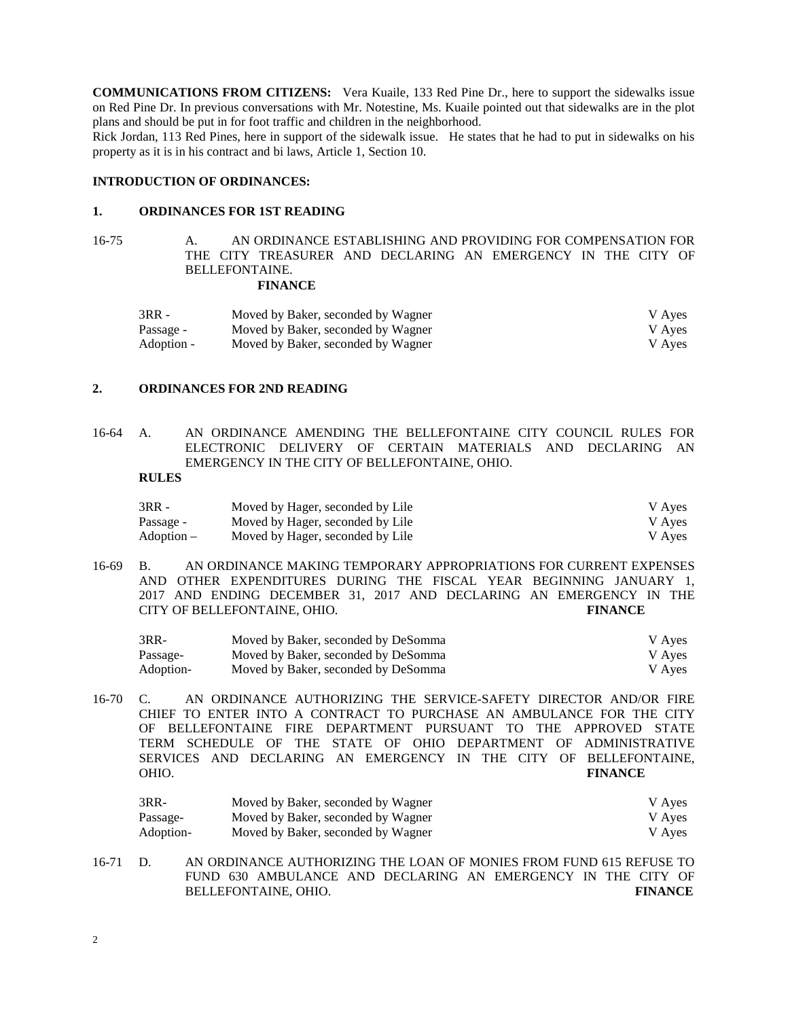**COMMUNICATIONS FROM CITIZENS:** Vera Kuaile, 133 Red Pine Dr., here to support the sidewalks issue on Red Pine Dr. In previous conversations with Mr. Notestine, Ms. Kuaile pointed out that sidewalks are in the plot plans and should be put in for foot traffic and children in the neighborhood.

Rick Jordan, 113 Red Pines, here in support of the sidewalk issue. He states that he had to put in sidewalks on his property as it is in his contract and bi laws, Article 1, Section 10.

#### **INTRODUCTION OF ORDINANCES:**

#### **1. ORDINANCES FOR 1ST READING**

16-75 A. AN ORDINANCE ESTABLISHING AND PROVIDING FOR COMPENSATION FOR THE CITY TREASURER AND DECLARING AN EMERGENCY IN THE CITY OF BELLEFONTAINE.

#### **FINANCE**

| $3RR -$    | Moved by Baker, seconded by Wagner | V Ayes |
|------------|------------------------------------|--------|
| Passage -  | Moved by Baker, seconded by Wagner | V Aves |
| Adoption - | Moved by Baker, seconded by Wagner | V Aves |

#### **2. ORDINANCES FOR 2ND READING**

16-64 A. AN ORDINANCE AMENDING THE BELLEFONTAINE CITY COUNCIL RULES FOR ELECTRONIC DELIVERY OF CERTAIN MATERIALS AND DECLARING AN EMERGENCY IN THE CITY OF BELLEFONTAINE, OHIO.

# **RULES**

| $3RR -$    | Moved by Hager, seconded by Lile | V Ayes |
|------------|----------------------------------|--------|
| Passage -  | Moved by Hager, seconded by Lile | V Ayes |
| Adoption – | Moved by Hager, seconded by Lile | V Aves |

16-69 B. AN ORDINANCE MAKING TEMPORARY APPROPRIATIONS FOR CURRENT EXPENSES AND OTHER EXPENDITURES DURING THE FISCAL YEAR BEGINNING JANUARY 1, 2017 AND ENDING DECEMBER 31, 2017 AND DECLARING AN EMERGENCY IN THE CITY OF BELLEFONTAINE, OHIO. **FINANCE**

| 3RR-      | Moved by Baker, seconded by DeSomma | V Ayes |
|-----------|-------------------------------------|--------|
| Passage-  | Moved by Baker, seconded by DeSomma | V Ayes |
| Adoption- | Moved by Baker, seconded by DeSomma | V Aves |

16-70 C. AN ORDINANCE AUTHORIZING THE SERVICE-SAFETY DIRECTOR AND/OR FIRE CHIEF TO ENTER INTO A CONTRACT TO PURCHASE AN AMBULANCE FOR THE CITY OF BELLEFONTAINE FIRE DEPARTMENT PURSUANT TO THE APPROVED STATE TERM SCHEDULE OF THE STATE OF OHIO DEPARTMENT OF ADMINISTRATIVE SERVICES AND DECLARING AN EMERGENCY IN THE CITY OF BELLEFONTAINE, OHIO. **FINANCE**

| 3RR-      | Moved by Baker, seconded by Wagner | V Aves |
|-----------|------------------------------------|--------|
| Passage-  | Moved by Baker, seconded by Wagner | V Aves |
| Adoption- | Moved by Baker, seconded by Wagner | V Aves |

16-71 D. AN ORDINANCE AUTHORIZING THE LOAN OF MONIES FROM FUND 615 REFUSE TO FUND 630 AMBULANCE AND DECLARING AN EMERGENCY IN THE CITY OF BELLEFONTAINE, OHIO. **FINANCE**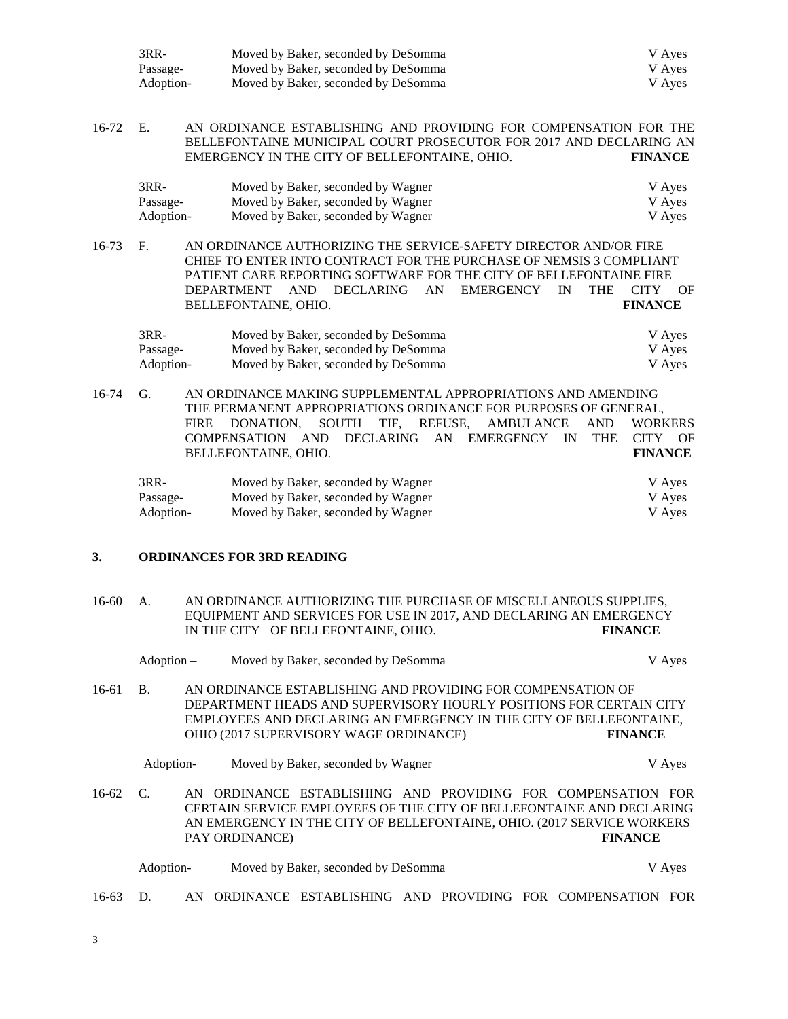| 3RR-      | Moved by Baker, seconded by DeSomma | V Ayes |
|-----------|-------------------------------------|--------|
| Passage-  | Moved by Baker, seconded by DeSomma | V Aves |
| Adoption- | Moved by Baker, seconded by DeSomma | V Aves |

16-72 E. AN ORDINANCE ESTABLISHING AND PROVIDING FOR COMPENSATION FOR THE BELLEFONTAINE MUNICIPAL COURT PROSECUTOR FOR 2017 AND DECLARING AN EMERGENCY IN THE CITY OF BELLEFONTAINE. OHIO. FINANCE EMERGENCY IN THE CITY OF BELLEFONTAINE, OHIO.

| 3RR-      | Moved by Baker, seconded by Wagner | V Ayes |
|-----------|------------------------------------|--------|
| Passage-  | Moved by Baker, seconded by Wagner | V Aves |
| Adoption- | Moved by Baker, seconded by Wagner | V Aves |

16-73 F. AN ORDINANCE AUTHORIZING THE SERVICE-SAFETY DIRECTOR AND/OR FIRE CHIEF TO ENTER INTO CONTRACT FOR THE PURCHASE OF NEMSIS 3 COMPLIANT PATIENT CARE REPORTING SOFTWARE FOR THE CITY OF BELLEFONTAINE FIRE DEPARTMENT AND DECLARING AN EMERGENCY IN THE CITY OF BELLEFONTAINE, OHIO. **FINANCE**

| 3RR-      | Moved by Baker, seconded by DeSomma | V Aves |
|-----------|-------------------------------------|--------|
| Passage-  | Moved by Baker, seconded by DeSomma | V Aves |
| Adoption- | Moved by Baker, seconded by DeSomma | V Aves |

16-74 G. AN ORDINANCE MAKING SUPPLEMENTAL APPROPRIATIONS AND AMENDING THE PERMANENT APPROPRIATIONS ORDINANCE FOR PURPOSES OF GENERAL, FIRE DONATION, SOUTH TIF, REFUSE, AMBULANCE AND WORKERS COMPENSATION AND DECLARING AN EMERGENCY IN THE CITY OF BELLEFONTAINE, OHIO. **FINANCE** 3RR- Moved by Baker, seconded by Wagner V Ayes

| Passage-  | Moved by Baker, seconded by Wagner | V Ayes |
|-----------|------------------------------------|--------|
| Adoption- | Moved by Baker, seconded by Wagner | V Ayes |

#### **3. ORDINANCES FOR 3RD READING**

| 16-60 | A. | AN ORDINANCE AUTHORIZING THE PURCHASE OF MISCELLANEOUS SUPPLIES,   |                |
|-------|----|--------------------------------------------------------------------|----------------|
|       |    | EQUIPMENT AND SERVICES FOR USE IN 2017, AND DECLARING AN EMERGENCY |                |
|       |    | IN THE CITY OF BELLEFONTAINE, OHIO.                                | <b>FINANCE</b> |

|       | Adoption – | Moved by Baker, seconded by DeSomma                                                                                               |  |                | V Ayes |
|-------|------------|-----------------------------------------------------------------------------------------------------------------------------------|--|----------------|--------|
| 16-61 | B.         | AN ORDINANCE ESTABLISHING AND PROVIDING FOR COMPENSATION OF<br>DEPARTMENT HEADS AND SUPERVISORY HOURLY POSITIONS FOR CERTAIN CITY |  |                |        |
|       |            | EMPLOYEES AND DECLARING AN EMERGENCY IN THE CITY OF BELLEFONTAINE.<br>OHIO (2017 SUPERVISORY WAGE ORDINANCE)                      |  | <b>FINANCE</b> |        |

Adoption- Moved by Baker, seconded by Wagner V Ayes

16-62 C. AN ORDINANCE ESTABLISHING AND PROVIDING FOR COMPENSATION FOR CERTAIN SERVICE EMPLOYEES OF THE CITY OF BELLEFONTAINE AND DECLARING AN EMERGENCY IN THE CITY OF BELLEFONTAINE, OHIO. (2017 SERVICE WORKERS PAY ORDINANCE) **FINANCE**

| Adoption- | Moved by Baker, seconded by DeSomma | V Aves |
|-----------|-------------------------------------|--------|
|-----------|-------------------------------------|--------|

16-63 D. AN ORDINANCE ESTABLISHING AND PROVIDING FOR COMPENSATION FOR